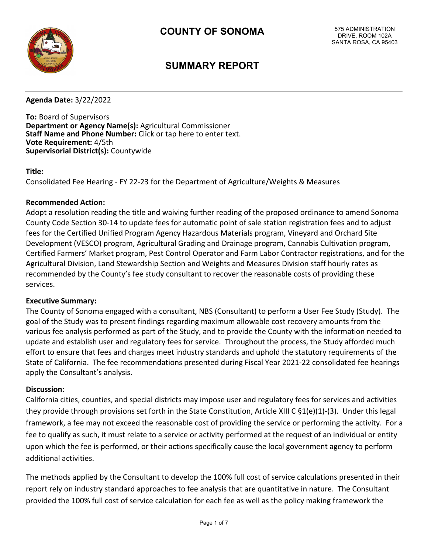

# **SUMMARY REPORT**

**Agenda Date:** 3/22/2022

**To:** Board of Supervisors **Department or Agency Name(s):** Agricultural Commissioner **Staff Name and Phone Number:** Click or tap here to enter text. **Vote Requirement:** 4/5th **Supervisorial District(s):** Countywide

#### **Title:**

Consolidated Fee Hearing - FY 22-23 for the Department of Agriculture/Weights & Measures

#### **Recommended Action:**

Adopt a resolution reading the title and waiving further reading of the proposed ordinance to amend Sonoma County Code Section 30-14 to update fees for automatic point of sale station registration fees and to adjust fees for the Certified Unified Program Agency Hazardous Materials program, Vineyard and Orchard Site Development (VESCO) program, Agricultural Grading and Drainage program, Cannabis Cultivation program, Certified Farmers' Market program, Pest Control Operator and Farm Labor Contractor registrations, and for the Agricultural Division, Land Stewardship Section and Weights and Measures Division staff hourly rates as recommended by the County's fee study consultant to recover the reasonable costs of providing these services.

#### **Executive Summary:**

The County of Sonoma engaged with a consultant, NBS (Consultant) to perform a User Fee Study (Study). The goal of the Study was to present findings regarding maximum allowable cost recovery amounts from the various fee analysis performed as part of the Study, and to provide the County with the information needed to update and establish user and regulatory fees for service. Throughout the process, the Study afforded much effort to ensure that fees and charges meet industry standards and uphold the statutory requirements of the State of California. The fee recommendations presented during Fiscal Year 2021-22 consolidated fee hearings apply the Consultant's analysis.

#### **Discussion:**

California cities, counties, and special districts may impose user and regulatory fees for services and activities they provide through provisions set forth in the State Constitution, Article XIII C §1(e)(1)-(3). Under this legal framework, a fee may not exceed the reasonable cost of providing the service or performing the activity. For a fee to qualify as such, it must relate to a service or activity performed at the request of an individual or entity upon which the fee is performed, or their actions specifically cause the local government agency to perform additional activities.

The methods applied by the Consultant to develop the 100% full cost of service calculations presented in their report rely on industry standard approaches to fee analysis that are quantitative in nature. The Consultant provided the 100% full cost of service calculation for each fee as well as the policy making framework the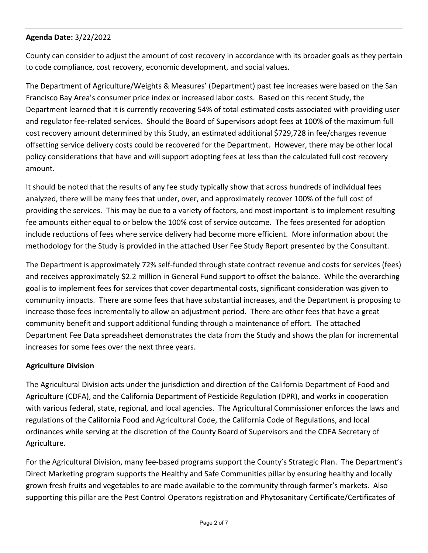County can consider to adjust the amount of cost recovery in accordance with its broader goals as they pertain to code compliance, cost recovery, economic development, and social values.

The Department of Agriculture/Weights & Measures' (Department) past fee increases were based on the San Francisco Bay Area's consumer price index or increased labor costs. Based on this recent Study, the Department learned that it is currently recovering 54% of total estimated costs associated with providing user and regulator fee-related services. Should the Board of Supervisors adopt fees at 100% of the maximum full cost recovery amount determined by this Study, an estimated additional \$729,728 in fee/charges revenue offsetting service delivery costs could be recovered for the Department. However, there may be other local policy considerations that have and will support adopting fees at less than the calculated full cost recovery amount.

It should be noted that the results of any fee study typically show that across hundreds of individual fees analyzed, there will be many fees that under, over, and approximately recover 100% of the full cost of providing the services. This may be due to a variety of factors, and most important is to implement resulting fee amounts either equal to or below the 100% cost of service outcome. The fees presented for adoption include reductions of fees where service delivery had become more efficient. More information about the methodology for the Study is provided in the attached User Fee Study Report presented by the Consultant.

The Department is approximately 72% self-funded through state contract revenue and costs for services (fees) and receives approximately \$2.2 million in General Fund support to offset the balance. While the overarching goal is to implement fees for services that cover departmental costs, significant consideration was given to community impacts. There are some fees that have substantial increases, and the Department is proposing to increase those fees incrementally to allow an adjustment period. There are other fees that have a great community benefit and support additional funding through a maintenance of effort. The attached Department Fee Data spreadsheet demonstrates the data from the Study and shows the plan for incremental increases for some fees over the next three years.

# **Agriculture Division**

The Agricultural Division acts under the jurisdiction and direction of the California Department of Food and Agriculture (CDFA), and the California Department of Pesticide Regulation (DPR), and works in cooperation with various federal, state, regional, and local agencies. The Agricultural Commissioner enforces the laws and regulations of the California Food and Agricultural Code, the California Code of Regulations, and local ordinances while serving at the discretion of the County Board of Supervisors and the CDFA Secretary of Agriculture.

For the Agricultural Division, many fee-based programs support the County's Strategic Plan. The Department's Direct Marketing program supports the Healthy and Safe Communities pillar by ensuring healthy and locally grown fresh fruits and vegetables to are made available to the community through farmer's markets. Also supporting this pillar are the Pest Control Operators registration and Phytosanitary Certificate/Certificates of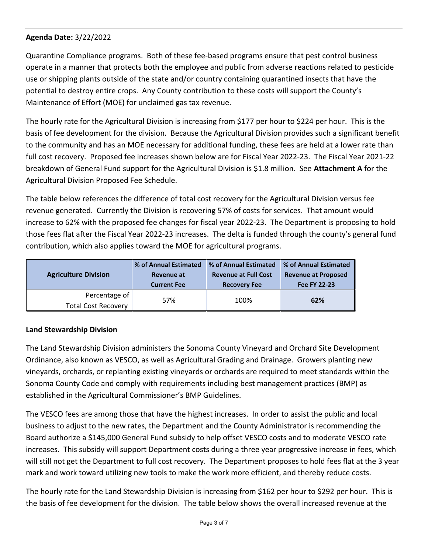Quarantine Compliance programs. Both of these fee-based programs ensure that pest control business operate in a manner that protects both the employee and public from adverse reactions related to pesticide use or shipping plants outside of the state and/or country containing quarantined insects that have the potential to destroy entire crops. Any County contribution to these costs will support the County's Maintenance of Effort (MOE) for unclaimed gas tax revenue.

The hourly rate for the Agricultural Division is increasing from \$177 per hour to \$224 per hour. This is the basis of fee development for the division. Because the Agricultural Division provides such a significant benefit to the community and has an MOE necessary for additional funding, these fees are held at a lower rate than full cost recovery. Proposed fee increases shown below are for Fiscal Year 2022-23. The Fiscal Year 2021-22 breakdown of General Fund support for the Agricultural Division is \$1.8 million. See **Attachment A** for the Agricultural Division Proposed Fee Schedule.

The table below references the difference of total cost recovery for the Agricultural Division versus fee revenue generated. Currently the Division is recovering 57% of costs for services. That amount would increase to 62% with the proposed fee changes for fiscal year 2022-23. The Department is proposing to hold those fees flat after the Fiscal Year 2022-23 increases. The delta is funded through the county's general fund contribution, which also applies toward the MOE for agricultural programs.

| <b>Agriculture Division</b>                 | % of Annual Estimated | % of Annual Estimated       | % of Annual Estimated      |  |  |
|---------------------------------------------|-----------------------|-----------------------------|----------------------------|--|--|
|                                             | Revenue at            | <b>Revenue at Full Cost</b> | <b>Revenue at Proposed</b> |  |  |
|                                             | <b>Current Fee</b>    | <b>Recovery Fee</b>         | Fee FY 22-23               |  |  |
| Percentage of<br><b>Total Cost Recovery</b> | 57%                   | 100%                        | 62%                        |  |  |

# **Land Stewardship Division**

The Land Stewardship Division administers the Sonoma County Vineyard and Orchard Site Development Ordinance, also known as VESCO, as well as Agricultural Grading and Drainage. Growers planting new vineyards, orchards, or replanting existing vineyards or orchards are required to meet standards within the Sonoma County Code and comply with requirements including best management practices (BMP) as established in the Agricultural Commissioner's BMP Guidelines.

The VESCO fees are among those that have the highest increases. In order to assist the public and local business to adjust to the new rates, the Department and the County Administrator is recommending the Board authorize a \$145,000 General Fund subsidy to help offset VESCO costs and to moderate VESCO rate increases. This subsidy will support Department costs during a three year progressive increase in fees, which will still not get the Department to full cost recovery. The Department proposes to hold fees flat at the 3 year mark and work toward utilizing new tools to make the work more efficient, and thereby reduce costs.

The hourly rate for the Land Stewardship Division is increasing from \$162 per hour to \$292 per hour. This is the basis of fee development for the division. The table below shows the overall increased revenue at the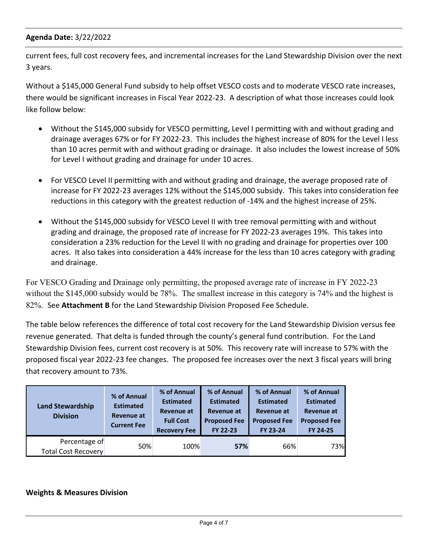current fees, full cost recovery fees, and incremental increases for the Land Stewardship Division over the next 3 years.

Without a \$145,000 General Fund subsidy to help offset VESCO costs and to moderate VESCO rate increases, there would be significant increases in Fiscal Year 2022-23. A description of what those increases could look like follow below:

- · Without the \$145,000 subsidy for VESCO permitting, Level I permitting with and without grading and drainage averages 67% or for FY 2022-23. This includes the highest increase of 80% for the Level I less than 10 acres permit with and without grading or drainage. It also includes the lowest increase of 50% for Level I without grading and drainage for under 10 acres.
- · For VESCO Level II permitting with and without grading and drainage, the average proposed rate of increase for FY 2022-23 averages 12% without the \$145,000 subsidy. This takes into consideration fee reductions in this category with the greatest reduction of -14% and the highest increase of 25%.
- Without the \$145,000 subsidy for VESCO Level II with tree removal permitting with and without grading and drainage, the proposed rate of increase for FY 2022-23 averages 19%. This takes into consideration a 23% reduction for the Level II with no grading and drainage for properties over 100 acres. It also takes into consideration a 44% increase for the less than 10 acres category with grading and drainage.

For VESCO Grading and Drainage only permitting, the proposed average rate of increase in FY 2022-23 without the \$145,000 subsidy would be 78%. The smallest increase in this category is 74% and the highest is 82%. See **Attachment B** for the Land Stewardship Division Proposed Fee Schedule.

The table below references the difference of total cost recovery for the Land Stewardship Division versus fee revenue generated. That delta is funded through the county's general fund contribution. For the Land Stewardship Division fees, current cost recovery is at 50%. This recovery rate will increase to 57% with the proposed fiscal year 2022-23 fee changes. The proposed fee increases over the next 3 fiscal years will bring that recovery amount to 73%.

| <b>Land Stewardship</b><br><b>Division</b>  | % of Annual<br><b>Estimated</b><br><b>Revenue at</b><br><b>Current Fee</b> | % of Annual<br><b>Estimated</b><br>Revenue at<br><b>Full Cost</b><br><b>Recovery Fee</b> | % of Annual<br><b>Estimated</b><br>Revenue at<br><b>Proposed Fee</b><br>FY 22-23 | % of Annual<br><b>Estimated</b><br>Revenue at<br><b>Proposed Fee</b><br>FY 23-24 | % of Annual<br><b>Estimated</b><br><b>Revenue at</b><br><b>Proposed Fee</b><br>FY 24-25 |
|---------------------------------------------|----------------------------------------------------------------------------|------------------------------------------------------------------------------------------|----------------------------------------------------------------------------------|----------------------------------------------------------------------------------|-----------------------------------------------------------------------------------------|
| Percentage of<br><b>Total Cost Recovery</b> | 50%                                                                        | 100%                                                                                     | 57%                                                                              | 66%                                                                              | 73%                                                                                     |

#### **Weights & Measures Division**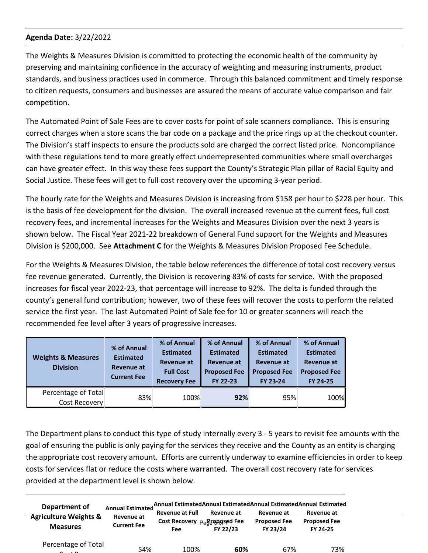The Weights & Measures Division is committed to protecting the economic health of the community by preserving and maintaining confidence in the accuracy of weighting and measuring instruments, product standards, and business practices used in commerce. Through this balanced commitment and timely response to citizen requests, consumers and businesses are assured the means of accurate value comparison and fair competition.

The Automated Point of Sale Fees are to cover costs for point of sale scanners compliance. This is ensuring correct charges when a store scans the bar code on a package and the price rings up at the checkout counter. The Division's staff inspects to ensure the products sold are charged the correct listed price. Noncompliance with these regulations tend to more greatly effect underrepresented communities where small overcharges can have greater effect. In this way these fees support the County's Strategic Plan pillar of Racial Equity and Social Justice. These fees will get to full cost recovery over the upcoming 3-year period.

The hourly rate for the Weights and Measures Division is increasing from \$158 per hour to \$228 per hour. This is the basis of fee development for the division. The overall increased revenue at the current fees, full cost recovery fees, and incremental increases for the Weights and Measures Division over the next 3 years is shown below. The Fiscal Year 2021-22 breakdown of General Fund support for the Weights and Measures Division is \$200,000. See **Attachment C** for the Weights & Measures Division Proposed Fee Schedule.

For the Weights & Measures Division, the table below references the difference of total cost recovery versus fee revenue generated. Currently, the Division is recovering 83% of costs for service. With the proposed increases for fiscal year 2022-23, that percentage will increase to 92%. The delta is funded through the county's general fund contribution; however, two of these fees will recover the costs to perform the related service the first year. The last Automated Point of Sale fee for 10 or greater scanners will reach the recommended fee level after 3 years of progressive increases.

| <b>Weights &amp; Measures</b><br><b>Division</b> | % of Annual<br><b>Estimated</b><br>Revenue at<br><b>Current Fee</b> | % of Annual<br><b>Estimated</b><br><b>Revenue at</b><br><b>Full Cost</b><br><b>Recovery Fee</b> | % of Annual<br><b>Estimated</b><br>Revenue at<br><b>Proposed Fee</b><br>FY 22-23 | % of Annual<br><b>Estimated</b><br>Revenue at<br><b>Proposed Fee</b><br>FY 23-24 | % of Annual<br><b>Estimated</b><br><b>Revenue at</b><br><b>Proposed Fee</b><br>FY 24-25 |
|--------------------------------------------------|---------------------------------------------------------------------|-------------------------------------------------------------------------------------------------|----------------------------------------------------------------------------------|----------------------------------------------------------------------------------|-----------------------------------------------------------------------------------------|
| Percentage of Total<br>Cost Recovery             | 83%                                                                 | 100%                                                                                            | 92%                                                                              | 95%                                                                              | 100%                                                                                    |

The Department plans to conduct this type of study internally every 3 - 5 years to revisit fee amounts with the goal of ensuring the public is only paying for the services they receive and the County as an entity is charging the appropriate cost recovery amount. Efforts are currently underway to examine efficiencies in order to keep costs for services flat or reduce the costs where warranted. The overall cost recovery rate for services provided at the department level is shown below.

| Department of                    | <b>Annual Estimated</b>          | <b>Revenue at Full</b>                    | Annual EstimatedAnnual EstimatedAnnual EstimatedAnnual Estimated<br>Revenue at | Revenue at          | Revenue at          |  |
|----------------------------------|----------------------------------|-------------------------------------------|--------------------------------------------------------------------------------|---------------------|---------------------|--|
| <b>Agriculture Weights &amp;</b> | Revenue at<br><b>Current Fee</b> | Cost Recovery <sub>Pack</sub> egggsed Fee |                                                                                | <b>Proposed Fee</b> | <b>Proposed Fee</b> |  |
| <b>Measures</b>                  |                                  | Fee                                       | FY 22/23                                                                       | FY 23/24            | FY 24-25            |  |
| Percentage of Total              | 54%                              | 100%                                      | 60%                                                                            | 67%                 | 73%                 |  |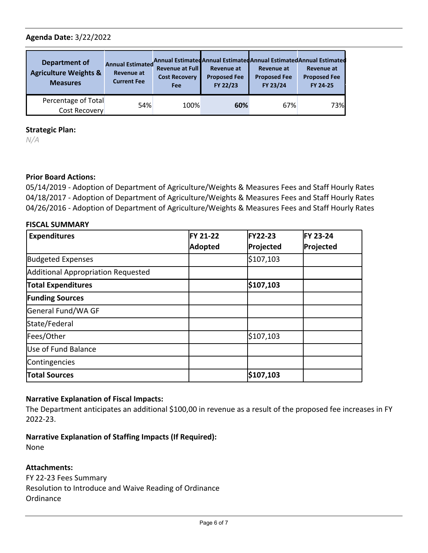| Department of<br><b>Agriculture Weights &amp;</b><br><b>Measures</b> | <b>Annual Estimated</b><br><b>Revenue at</b><br><b>Current Fee</b> | <b>Revenue at Full</b><br><b>Cost Recovery</b><br>Fee | <b>Revenue at</b><br><b>Proposed Fee</b><br>FY 22/23 | <b>Revenue at</b><br><b>Proposed Fee</b><br>FY 23/24 | Annual Estimated Annual Estimated Annual Estimated Annual Estimated<br><b>Revenue at</b><br><b>Proposed Fee</b><br>FY 24-25 |
|----------------------------------------------------------------------|--------------------------------------------------------------------|-------------------------------------------------------|------------------------------------------------------|------------------------------------------------------|-----------------------------------------------------------------------------------------------------------------------------|
| Percentage of Total<br>Cost Recovery                                 | 54%                                                                | 100%                                                  | 60%                                                  | 67%                                                  | 73%                                                                                                                         |

#### **Strategic Plan:**

*N/A*

# **Prior Board Actions:**

05/14/2019 - Adoption of Department of Agriculture/Weights & Measures Fees and Staff Hourly Rates 04/18/2017 - Adoption of Department of Agriculture/Weights & Measures Fees and Staff Hourly Rates 04/26/2016 - Adoption of Department of Agriculture/Weights & Measures Fees and Staff Hourly Rates

# **FISCAL SUMMARY**

| <b>Expenditures</b>                | <b>FY 21-22</b><br><b>Adopted</b> | <b>FY22-23</b><br>Projected | <b>FY 23-24</b><br>Projected |
|------------------------------------|-----------------------------------|-----------------------------|------------------------------|
|                                    |                                   |                             |                              |
| <b>Budgeted Expenses</b>           |                                   | \$107,103                   |                              |
| Additional Appropriation Requested |                                   |                             |                              |
| <b>Total Expenditures</b>          |                                   | \$107,103                   |                              |
| <b>Funding Sources</b>             |                                   |                             |                              |
| General Fund/WA GF                 |                                   |                             |                              |
| State/Federal                      |                                   |                             |                              |
| Fees/Other                         |                                   | \$107,103                   |                              |
| Use of Fund Balance                |                                   |                             |                              |
| Contingencies                      |                                   |                             |                              |
| <b>Total Sources</b>               |                                   | \$107,103                   |                              |

# **Narrative Explanation of Fiscal Impacts:**

The Department anticipates an additional \$100,00 in revenue as a result of the proposed fee increases in FY 2022-23.

**Narrative Explanation of Staffing Impacts (If Required):**

None

#### **Attachments:**

FY 22-23 Fees Summary Resolution to Introduce and Waive Reading of Ordinance Ordinance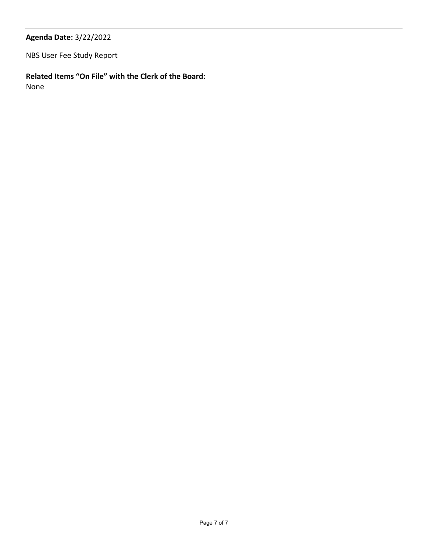NBS User Fee Study Report

**Related Items "On File" with the Clerk of the Board:**

None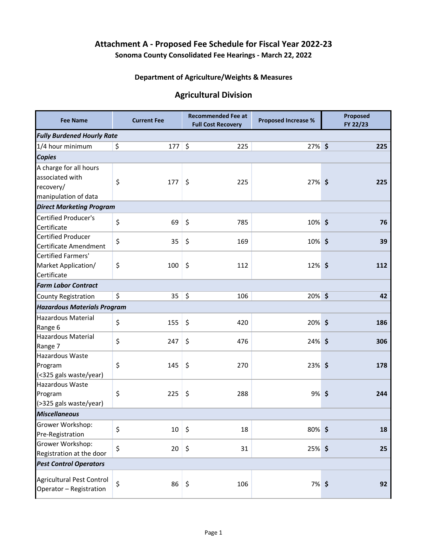# **Attachment A - Proposed Fee Schedule for Fiscal Year 2022-23**

**Sonoma County Consolidated Fee Hearings - March 22, 2022**

# **Department of Agriculture/Weights & Measures**

# **Agricultural Division**

| <b>Fee Name</b>                                                                | <b>Current Fee</b> |              |         | <b>Recommended Fee at</b><br><b>Full Cost Recovery</b> | <b>Proposed Increase %</b> |  | Proposed<br>FY 22/23 |  |  |  |  |  |
|--------------------------------------------------------------------------------|--------------------|--------------|---------|--------------------------------------------------------|----------------------------|--|----------------------|--|--|--|--|--|
| <b>Fully Burdened Hourly Rate</b>                                              |                    |              |         |                                                        |                            |  |                      |  |  |  |  |  |
| 1/4 hour minimum                                                               | \$                 | $177 \mid 5$ |         | 225                                                    | 27% \$                     |  | 225                  |  |  |  |  |  |
| <b>Copies</b>                                                                  |                    |              |         |                                                        |                            |  |                      |  |  |  |  |  |
| A charge for all hours<br>associated with<br>recovery/<br>manipulation of data | \$                 | 177          | $\zeta$ | 225                                                    | 27% \$                     |  | 225                  |  |  |  |  |  |
| <b>Direct Marketing Program</b>                                                |                    |              |         |                                                        |                            |  |                      |  |  |  |  |  |
| <b>Certified Producer's</b><br>Certificate                                     | \$                 | 69           | \$      | 785                                                    | 10% \$                     |  | 76                   |  |  |  |  |  |
| <b>Certified Producer</b><br>Certificate Amendment                             | \$                 | 35           | \$      | 169                                                    | 10% \$                     |  | 39                   |  |  |  |  |  |
| Certified Farmers'<br>Market Application/<br>Certificate                       | \$                 | 100          | \$      | 112                                                    | 12% \$                     |  | 112                  |  |  |  |  |  |
| <b>Farm Labor Contract</b>                                                     |                    |              |         |                                                        |                            |  |                      |  |  |  |  |  |
| <b>County Registration</b>                                                     | \$                 | 35           | $\zeta$ | 106                                                    | 20% \$                     |  | 42                   |  |  |  |  |  |
| <b>Hazardous Materials Program</b>                                             |                    |              |         |                                                        |                            |  |                      |  |  |  |  |  |
| <b>Hazardous Material</b><br>Range 6                                           | \$                 | 155          | \$      | 420                                                    | 20%\$                      |  | 186                  |  |  |  |  |  |
| <b>Hazardous Material</b><br>Range 7                                           | \$                 | 247          | \$      | 476                                                    | 24% \$                     |  | 306                  |  |  |  |  |  |
| Hazardous Waste<br>Program<br>(<325 gals waste/year)                           | \$                 | 145          | \$      | 270                                                    | 23% \$                     |  | 178                  |  |  |  |  |  |
| Hazardous Waste<br>Program<br>(>325 gals waste/year)                           | \$                 | 225          | \$      | 288                                                    | 9%\$                       |  | 244                  |  |  |  |  |  |
| <b>Miscellaneous</b>                                                           |                    |              |         |                                                        |                            |  |                      |  |  |  |  |  |
| Grower Workshop:<br>Pre-Registration                                           | \$                 | 10           | \$      | 18                                                     | 80%\$                      |  | 18                   |  |  |  |  |  |
| Grower Workshop:<br>Registration at the door                                   | \$                 | 20           | \$      | 31                                                     | 25%\$                      |  | 25                   |  |  |  |  |  |
| <b>Pest Control Operators</b>                                                  |                    |              |         |                                                        |                            |  |                      |  |  |  |  |  |
| Agricultural Pest Control<br>Operator - Registration                           | \$                 | $86 \mid 5$  |         | 106                                                    | 7%\$                       |  | 92                   |  |  |  |  |  |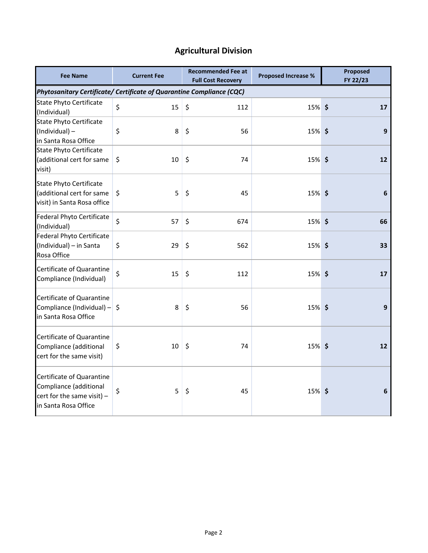# **Agricultural Division**

| <b>Fee Name</b>                                                                                             | <b>Current Fee</b> | <b>Recommended Fee at</b><br><b>Full Cost Recovery</b> | <b>Proposed Increase %</b> | Proposed<br>FY 22/23 |  |  |
|-------------------------------------------------------------------------------------------------------------|--------------------|--------------------------------------------------------|----------------------------|----------------------|--|--|
| Phytosanitary Certificate/ Certificate of Quarantine Compliance (CQC)                                       |                    |                                                        |                            |                      |  |  |
| <b>State Phyto Certificate</b><br>(Individual)                                                              | \$<br>15           | \$<br>112                                              | 15% \$                     | 17                   |  |  |
| <b>State Phyto Certificate</b><br>(Individual) -<br>in Santa Rosa Office                                    | \$<br>8            | \$<br>56                                               | 15% \$                     | 9                    |  |  |
| <b>State Phyto Certificate</b><br>(additional cert for same<br>visit)                                       | \$<br>10           | $\zeta$<br>74                                          | 15% \$                     | 12                   |  |  |
| <b>State Phyto Certificate</b><br>(additional cert for same<br>visit) in Santa Rosa office                  | \$<br>5            | \$<br>45                                               | 15% \$                     | 6                    |  |  |
| Federal Phyto Certificate<br>(Individual)                                                                   | \$<br>57           | \$<br>674                                              | 15% \$                     | 66                   |  |  |
| Federal Phyto Certificate<br>(Individual) - in Santa<br>Rosa Office                                         | 29<br>\$           | \$<br>562                                              | 15% \$                     | 33                   |  |  |
| Certificate of Quarantine<br>Compliance (Individual)                                                        | \$<br>15           | \$<br>112                                              | 15% \$                     | 17                   |  |  |
| Certificate of Quarantine<br>Compliance (Individual) $-$ \$<br>in Santa Rosa Office                         | 8                  | \$<br>56                                               | 15% \$                     | 9                    |  |  |
| Certificate of Quarantine<br>Compliance (additional<br>cert for the same visit)                             | 10<br>\$           | $\zeta$<br>74                                          | 15% \$                     | 12                   |  |  |
| Certificate of Quarantine<br>Compliance (additional<br>cert for the same visit) $-$<br>in Santa Rosa Office | \$<br>5            | \$<br>45                                               | 15% \$                     | 6                    |  |  |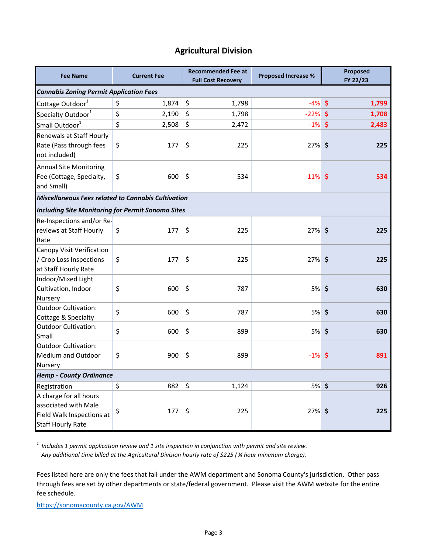# **Agricultural Division**

| <b>Fee Name</b>                                                                                         | <b>Current Fee</b> | <b>Recommended Fee at</b><br><b>Full Cost Recovery</b> | <b>Proposed Increase %</b> | Proposed<br>FY 22/23 |  |  |  |  |  |  |  |  |
|---------------------------------------------------------------------------------------------------------|--------------------|--------------------------------------------------------|----------------------------|----------------------|--|--|--|--|--|--|--|--|
| <b>Cannabis Zoning Permit Application Fees</b>                                                          |                    |                                                        |                            |                      |  |  |  |  |  |  |  |  |
| Cottage Outdoor <sup>1</sup>                                                                            | \$<br>1,874        | \$<br>1,798                                            | $-4\%$ \$                  | 1,799                |  |  |  |  |  |  |  |  |
| Specialty Outdoor <sup>1</sup>                                                                          | \$<br>2,190        | \$<br>1,798                                            | $-22%$ \$                  | 1,708                |  |  |  |  |  |  |  |  |
| Small Outdoor <sup>1</sup>                                                                              | \$<br>2,508        | \$<br>2,472                                            | $-1\%$ \$                  | 2,483                |  |  |  |  |  |  |  |  |
| Renewals at Staff Hourly<br>Rate (Pass through fees<br>not included)                                    | \$<br>177          | \$<br>225                                              | $27\%$ \$                  | 225                  |  |  |  |  |  |  |  |  |
| <b>Annual Site Monitoring</b><br>Fee (Cottage, Specialty,<br>and Small)                                 | \$<br>600          | \$<br>534                                              | $-11\%$ \$                 | 534                  |  |  |  |  |  |  |  |  |
| <b>Miscellaneous Fees related to Cannabis Cultivation</b>                                               |                    |                                                        |                            |                      |  |  |  |  |  |  |  |  |
| <b>Including Site Monitoring for Permit Sonoma Sites</b>                                                |                    |                                                        |                            |                      |  |  |  |  |  |  |  |  |
| Re-Inspections and/or Re-<br>reviews at Staff Hourly<br>Rate                                            | \$<br>177          | \$<br>225                                              | 27% \$                     | 225                  |  |  |  |  |  |  |  |  |
| Canopy Visit Verification<br>/ Crop Loss Inspections<br>at Staff Hourly Rate                            | \$<br>177          | \$<br>225                                              | 27% \$                     | 225                  |  |  |  |  |  |  |  |  |
| Indoor/Mixed Light<br>Cultivation, Indoor<br>Nursery                                                    | \$<br>600          | \$<br>787                                              | 5%\$                       | 630                  |  |  |  |  |  |  |  |  |
| <b>Outdoor Cultivation:</b><br>Cottage & Specialty                                                      | \$<br>600          | \$<br>787                                              | 5%\$                       | 630                  |  |  |  |  |  |  |  |  |
| Outdoor Cultivation:<br>Small                                                                           | \$<br>600          | \$<br>899                                              | 5%\$                       | 630                  |  |  |  |  |  |  |  |  |
| <b>Outdoor Cultivation:</b><br><b>Medium and Outdoor</b><br><b>Nursery</b>                              | \$<br>900          | \$<br>899                                              | $-1\%$ \$                  | 891                  |  |  |  |  |  |  |  |  |
| <b>Hemp - County Ordinance</b>                                                                          |                    |                                                        |                            |                      |  |  |  |  |  |  |  |  |
| Registration                                                                                            | \$<br>882          | \$<br>1,124                                            | 5%\$                       | 926                  |  |  |  |  |  |  |  |  |
| A charge for all hours<br>associated with Male<br>Field Walk Inspections at<br><b>Staff Hourly Rate</b> | \$<br>177          | \$<br>225                                              | 27% \$                     | 225                  |  |  |  |  |  |  |  |  |

*1 Includes 1 permit application review and 1 site inspection in conjunction with permit and site review. Any additional time billed at the Agricultural Division hourly rate of \$225 ( ¼ hour minimum charge).*

Fees listed here are only the fees that fall under the AWM department and Sonoma County's jurisdiction. Other pass through fees are set by other departments or state/federal government. Please visit the AWM website for the entire fee schedule.

<https://sonomacounty.ca.gov/AWM>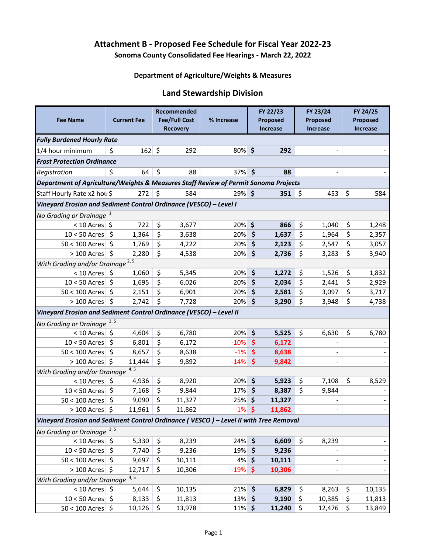# **Attachment B - Proposed Fee Schedule for Fiscal Year 2022-23 Sonoma County Consolidated Fee Hearings - March 22, 2022**

#### **Department of Agriculture/Weights & Measures**

# **Land Stewardship Division**

| <b>Fee Name</b>                                                                          |                                             | <b>Current Fee</b> |    | Recommended<br><b>Fee/Full Cost</b> | % Increase |                     | FY 22/23<br>Proposed |    | FY 23/24<br>Proposed         |     | FY 24/25<br>Proposed |  |
|------------------------------------------------------------------------------------------|---------------------------------------------|--------------------|----|-------------------------------------|------------|---------------------|----------------------|----|------------------------------|-----|----------------------|--|
|                                                                                          |                                             |                    |    | <b>Recovery</b>                     |            |                     | <b>Increase</b>      |    | <b>Increase</b>              |     | <b>Increase</b>      |  |
| <b>Fully Burdened Hourly Rate</b>                                                        |                                             |                    |    |                                     |            |                     |                      |    |                              |     |                      |  |
| 1/4 hour minimum                                                                         | \$                                          | $162 \mid 5$       |    | 292                                 | 80%\$      |                     | 292                  |    | $\blacksquare$               |     |                      |  |
| <b>Frost Protection Ordinance</b>                                                        |                                             |                    |    |                                     |            |                     |                      |    |                              |     |                      |  |
| Registration                                                                             | \$                                          | 64                 | \$ | 88                                  | 37% \$     |                     | 88                   |    | $\qquad \qquad \blacksquare$ |     |                      |  |
| Department of Agriculture/Weights & Measures Staff Review of Permit Sonoma Projects      |                                             |                    |    |                                     |            |                     |                      |    |                              |     |                      |  |
| \$<br>Staff Hourly Rate x2 hou \$<br>\$<br>584<br>$29\%$ \$<br>351<br>- \$<br>453<br>272 |                                             |                    |    |                                     |            |                     |                      |    |                              | 584 |                      |  |
| Vineyard Erosion and Sediment Control Ordinance (VESCO) - Level I                        |                                             |                    |    |                                     |            |                     |                      |    |                              |     |                      |  |
| No Grading or Drainage <sup>1</sup>                                                      |                                             |                    |    |                                     |            |                     |                      |    |                              |     |                      |  |
| $< 10$ Acres $\frac{1}{2}$                                                               |                                             | 722                | \$ | 3,677                               | 20%        | \$                  | 866                  | \$ | 1,040                        | \$  | 1,248                |  |
| $10 < 50$ Acres                                                                          | \$                                          | 1,364              | \$ | 3,638                               | 20%        | \$                  | 1,637                | \$ | 1,964                        | \$  | 2,357                |  |
| 50 < 100 Acres                                                                           | -\$                                         | 1,769              | \$ | 4,222                               | 20%        | \$                  | 2,123                | \$ | 2,547                        | \$  | 3,057                |  |
| $> 100$ Acres \$                                                                         |                                             | 2,280              | \$ | 4,538                               | 20%        | $\zeta$             | 2,736                | \$ | 3,283                        | \$  | 3,940                |  |
|                                                                                          | With Grading and/or Drainage <sup>2,5</sup> |                    |    |                                     |            |                     |                      |    |                              |     |                      |  |
| $< 10$ Acres $\frac{1}{2}$                                                               |                                             | 1,060              | \$ | 5,345                               | 20%        | \$                  | 1,272                | \$ | 1,526                        | \$  | 1,832                |  |
| $10 < 50$ Acres                                                                          | \$                                          | 1,695              | \$ | 6,026                               | 20%        | \$                  | 2,034                | \$ | 2,441                        | \$  | 2,929                |  |
| $50 < 100$ Acres                                                                         | \$                                          | 2,151              | \$ | 6,901                               | 20%        | \$                  | 2,581                | \$ | 3,097                        | \$  | 3,717                |  |
| $> 100$ Acres $\frac{1}{2}$                                                              |                                             | 2,742              | \$ | 7,728                               | 20%        | \$                  | 3,290                | \$ | 3,948                        | \$  | 4,738                |  |
| Vineyard Erosion and Sediment Control Ordinance (VESCO) - Level II                       |                                             |                    |    |                                     |            |                     |                      |    |                              |     |                      |  |
| <b>No Grading or Drainage</b>                                                            | 3, 5                                        |                    |    |                                     |            |                     |                      |    |                              |     |                      |  |
| $< 10$ Acres                                                                             | -\$                                         | 4,604              | \$ | 6,780                               | 20%        | \$                  | 5,525                | \$ | 6,630                        | \$  | 6,780                |  |
| $10 < 50$ Acres                                                                          | \$                                          | 6,801              | \$ | 6,172                               | $-10%$     | $\ddot{\bm{\zeta}}$ | 6,172                |    |                              |     |                      |  |
| 50 < 100 Acres                                                                           | \$                                          | 8,657              | \$ | 8,638                               | $-1%$      | \$                  | 8,638                |    | -                            |     |                      |  |
| $> 100$ Acres \$                                                                         |                                             | 11,444             | \$ | 9,892                               | $-14%$     | $\ddot{\bm{\zeta}}$ | 9,842                |    | $\overline{\phantom{0}}$     |     |                      |  |
| With Grading and/or Drainage                                                             |                                             | 4, 5               |    |                                     |            |                     |                      |    |                              |     |                      |  |
| $< 10$ Acres \$                                                                          |                                             | 4,936              | \$ | 8,920                               | 20%        | \$                  | 5,923                | \$ | 7,108                        | \$  | 8,529                |  |
| $10 < 50$ Acres                                                                          | -\$                                         | 7,168              | \$ | 9,844                               | 17%        | \$                  | 8,387                | \$ | 9,844                        |     |                      |  |
| 50 < 100 Acres                                                                           | Ŝ.                                          | 9,090              | \$ | 11,327                              | 25%        | \$                  | 11,327               |    |                              |     |                      |  |
| $> 100$ Acres \$                                                                         |                                             | 11,961             | \$ | 11,862                              | $-1%$      | \$                  | 11,862               |    | -                            |     |                      |  |
| Vineyard Erosion and Sediment Control Ordinance (VESCO) - Level II with Tree Removal     |                                             |                    |    |                                     |            |                     |                      |    |                              |     |                      |  |
| No Grading or Drainage                                                                   | 3, 5                                        |                    |    |                                     |            |                     |                      |    |                              |     |                      |  |
| $< 10$ Acres \$                                                                          |                                             | 5,330              | \$ | 8,239                               | 24% \$     |                     | 6,609                | \$ | 8,239                        |     |                      |  |
| $10 < 50$ Acres                                                                          | \$                                          | 7,740              | \$ | 9,236                               | 19% \$     |                     | 9,236                |    |                              |     |                      |  |
| $50 < 100$ Acres \$                                                                      |                                             | 9,697              | \$ | 10,111                              | 4%         | \$                  | 10,111               |    | $\qquad \qquad \blacksquare$ |     |                      |  |
| $> 100$ Acres $\frac{1}{5}$                                                              |                                             | 12,717             | \$ | 10,306                              | $-19\%$ \$ |                     | 10,306               |    | $\qquad \qquad \blacksquare$ |     |                      |  |
| With Grading and/or Drainage                                                             |                                             | 4, 5               |    |                                     |            |                     |                      |    |                              |     |                      |  |
| $< 10$ Acres \$                                                                          |                                             | 5,644              | \$ | 10,135                              | 21%        | \$                  | 6,829                | \$ | 8,263                        | \$  | 10,135               |  |
| $10 < 50$ Acres \$                                                                       |                                             | 8,133              | \$ | 11,813                              | 13%        | \$                  | 9,190                | \$ | 10,385                       | \$  | 11,813               |  |
| $50 < 100$ Acres \$                                                                      |                                             | 10,126             | \$ | 13,978                              | 11% \$     |                     | 11,240               | \$ | 12,476                       | \$  | 13,849               |  |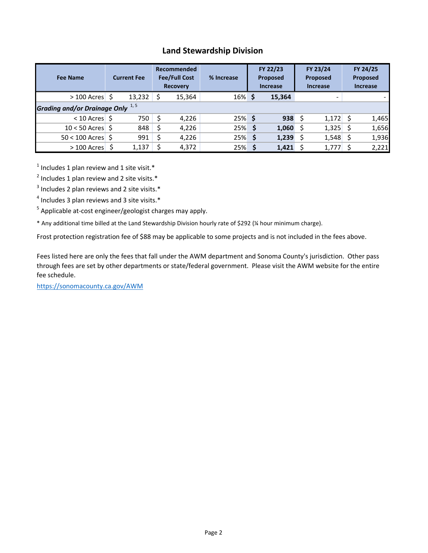# **Land Stewardship Division**

| <b>Fee Name</b>                |                                  | <b>Current Fee</b> |    | Recommended<br><b>Fee/Full Cost</b><br><b>Recovery</b> | % Increase | FY 22/23<br>Proposed<br><b>Increase</b> |             | FY 23/24<br>Proposed<br><b>Increase</b> |                          | FY 24/25<br>Proposed<br><b>Increase</b> |       |  |
|--------------------------------|----------------------------------|--------------------|----|--------------------------------------------------------|------------|-----------------------------------------|-------------|-----------------------------------------|--------------------------|-----------------------------------------|-------|--|
| $>100$ Acres                   | Ŝ                                | 13,232             | -Ś | 15,364                                                 | $16\%$ \$  |                                         | 15,364      |                                         | $\overline{\phantom{0}}$ |                                         |       |  |
|                                | Grading and/or Drainage Only 1,5 |                    |    |                                                        |            |                                         |             |                                         |                          |                                         |       |  |
| $< 10$ Acres $\frac{1}{2}$     |                                  | 750                | Ŝ  | 4,226                                                  | $25\%$ \$  |                                         | $938 \;$ \$ |                                         | 1,172                    | Ś                                       | 1,465 |  |
| $10 < 50$ Acres $\overline{S}$ |                                  | 848                | \$ | 4,226                                                  | 25%        | - \$                                    | 1,060       | \$                                      | 1,325                    | Ś                                       | 1,656 |  |
| $50 < 100$ Acres $\frac{1}{5}$ |                                  | 991                | \$ | 4,226                                                  | 25%        | -\$                                     | 1,239       | \$                                      | 1,548                    | Ś                                       | 1,936 |  |
| $>100$ Acres                   |                                  | 1,137              | \$ | 4,372                                                  | 25%        |                                         | 1,421       |                                         | 1,777                    |                                         | 2,221 |  |

 $<sup>1</sup>$  Includes 1 plan review and 1 site visit.\*</sup>

 $2$  Includes 1 plan review and 2 site visits.\*

 $3$  Includes 2 plan reviews and 2 site visits. $*$ 

 $<sup>4</sup>$  Includes 3 plan reviews and 3 site visits. $*$ </sup>

<sup>5</sup> Applicable at-cost engineer/geologist charges may apply.

\* Any additional time billed at the Land Stewardship Division hourly rate of \$292 (¼ hour minimum charge).

Frost protection registration fee of \$88 may be applicable to some projects and is not included in the fees above.

Fees listed here are only the fees that fall under the AWM department and Sonoma County's jurisdiction. Other pass through fees are set by other departments or state/federal government. Please visit the AWM website for the entire fee schedule.

<https://sonomacounty.ca.gov/AWM>